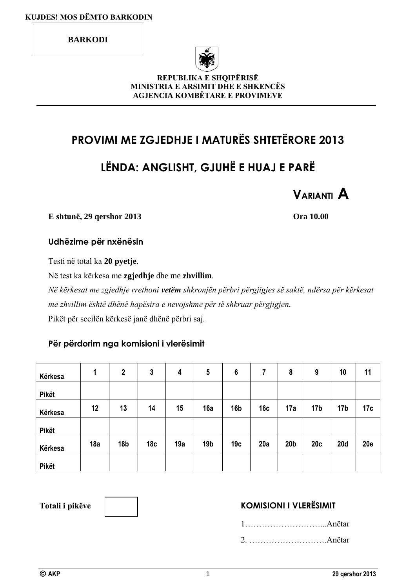**BARKODI**



#### **REPUBLIKA E SHQIPËRISË MINISTRIA E ARSIMIT DHE E SHKENCËS AGJENCIA KOMBËTARE E PROVIMEVE**

# **PROVIMI ME ZGJEDHJE I MATURËS SHTETËRORE 2013**

# **LËNDA: ANGLISHT, GJUHË E HUAJ E PARË**



**E shtunë, 29 qershor 2013 Ora 10.00**

#### **Udhëzime për nxënësin**

Testi në total ka **20 pyetje**.

Në test ka kërkesa me **zgjedhje** dhe me **zhvillim**.

*Në kërkesat me zgjedhje rrethoni vetëm shkronjën përbri përgjigjes së saktë, ndërsa për kërkesat me zhvillim është dhënë hapësira e nevojshme për të shkruar përgjigjen.* Pikët për secilën kërkesë janë dhënë përbri saj.

#### **Për përdorim nga komisioni i vlerësimit**

| Kërkesa      | 1   | $\boldsymbol{2}$ | 3               | 4   | $5\phantom{.0}$ | 6               | 7   | 8               | 9               | 10              | 11         |
|--------------|-----|------------------|-----------------|-----|-----------------|-----------------|-----|-----------------|-----------------|-----------------|------------|
| <b>Pikët</b> |     |                  |                 |     |                 |                 |     |                 |                 |                 |            |
| Kërkesa      | 12  | 13               | 14              | 15  | 16a             | 16 <sub>b</sub> | 16c | 17a             | 17 <sub>b</sub> | 17 <sub>b</sub> | 17c        |
| <b>Pikët</b> |     |                  |                 |     |                 |                 |     |                 |                 |                 |            |
| Kërkesa      | 18a | 18 <sub>b</sub>  | 18 <sub>c</sub> | 19a | 19 <sub>b</sub> | 19 <sub>c</sub> | 20a | 20 <sub>b</sub> | 20c             | 20d             | <b>20e</b> |
| <b>Pikët</b> |     |                  |                 |     |                 |                 |     |                 |                 |                 |            |



### Totali i pikëve **KOMISIONI I VLERËSIMIT**

1………………………...Anëtar 2. ……………………….Anëtar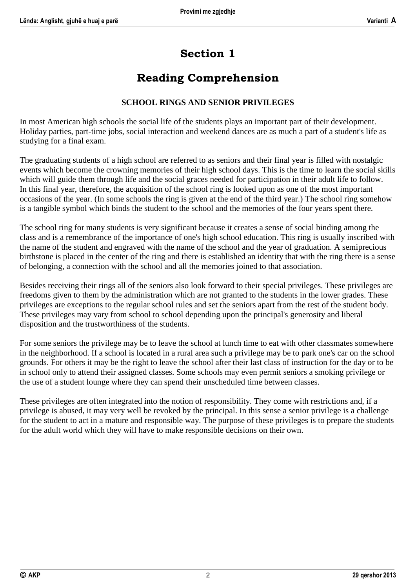# **Section 1**

## **Reading Comprehension**

#### **SCHOOL RINGS AND SENIOR PRIVILEGES**

In most American high schools the social life of the students plays an important part of their development. Holiday parties, part-time jobs, social interaction and weekend dances are as much a part of a student's life as studying for a final exam.

The graduating students of a high school are referred to as seniors and their final year is filled with nostalgic events which become the crowning memories of their high school days. This is the time to learn the social skills which will guide them through life and the social graces needed for participation in their adult life to follow. In this final year, therefore, the acquisition of the school ring is looked upon as one of the most important occasions of the year. (In some schools the ring is given at the end of the third year.) The school ring somehow is a tangible symbol which binds the student to the school and the memories of the four years spent there.

The school ring for many students is very significant because it creates a sense of social binding among the class and is a remembrance of the importance of one's high school education. This ring is usually inscribed with the name of the student and engraved with the name of the school and the year of graduation. A semiprecious birthstone is placed in the center of the ring and there is established an identity that with the ring there is a sense of belonging, a connection with the school and all the memories joined to that association.

Besides receiving their rings all of the seniors also look forward to their special privileges. These privileges are freedoms given to them by the administration which are not granted to the students in the lower grades. These privileges are exceptions to the regular school rules and set the seniors apart from the rest of the student body. These privileges may vary from school to school depending upon the principal's generosity and liberal disposition and the trustworthiness of the students.

For some seniors the privilege may be to leave the school at lunch time to eat with other classmates somewhere in the neighborhood. If a school is located in a rural area such a privilege may be to park one's car on the school grounds. For others it may be the right to leave the school after their last class of instruction for the day or to be in school only to attend their assigned classes. Some schools may even permit seniors a smoking privilege or the use of a student lounge where they can spend their unscheduled time between classes.

These privileges are often integrated into the notion of responsibility. They come with restrictions and, if a privilege is abused, it may very well be revoked by the principal. In this sense a senior privilege is a challenge for the student to act in a mature and responsible way. The purpose of these privileges is to prepare the students for the adult world which they will have to make responsible decisions on their own.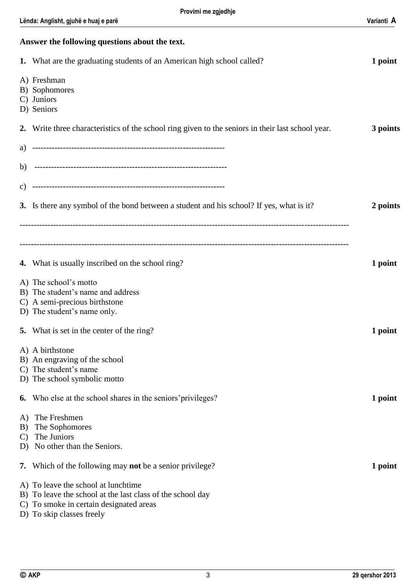| Answer the following questions about the text. |                                                                                                                                                                        |          |  |  |
|------------------------------------------------|------------------------------------------------------------------------------------------------------------------------------------------------------------------------|----------|--|--|
|                                                | 1. What are the graduating students of an American high school called?                                                                                                 | 1 point  |  |  |
|                                                | A) Freshman<br>B) Sophomores<br>C) Juniors<br>D) Seniors                                                                                                               |          |  |  |
|                                                | 2. Write three characteristics of the school ring given to the seniors in their last school year.                                                                      | 3 points |  |  |
|                                                |                                                                                                                                                                        |          |  |  |
|                                                |                                                                                                                                                                        |          |  |  |
| C)                                             |                                                                                                                                                                        |          |  |  |
|                                                | 3. Is there any symbol of the bond between a student and his school? If yes, what is it?                                                                               | 2 points |  |  |
|                                                |                                                                                                                                                                        |          |  |  |
|                                                |                                                                                                                                                                        |          |  |  |
|                                                | <b>4.</b> What is usually inscribed on the school ring?                                                                                                                | 1 point  |  |  |
|                                                | A) The school's motto<br>B) The student's name and address<br>C) A semi-precious birthstone<br>D) The student's name only.                                             |          |  |  |
|                                                | 5. What is set in the center of the ring?                                                                                                                              | 1 point  |  |  |
|                                                | A) A birthstone<br>B) An engraving of the school<br>C) The student's name<br>D) The school symbolic motto                                                              |          |  |  |
| 6.                                             | Who else at the school shares in the seniors' privileges?                                                                                                              | 1 point  |  |  |
| A)<br>B)<br>$\mathbf{C}$<br>D)                 | The Freshmen<br>The Sophomores<br>The Juniors<br>No other than the Seniors.                                                                                            |          |  |  |
| 7.                                             | Which of the following may not be a senior privilege?                                                                                                                  | 1 point  |  |  |
|                                                | A) To leave the school at lunchtime<br>B) To leave the school at the last class of the school day<br>To smoke in certain designated areas<br>D) To skip classes freely |          |  |  |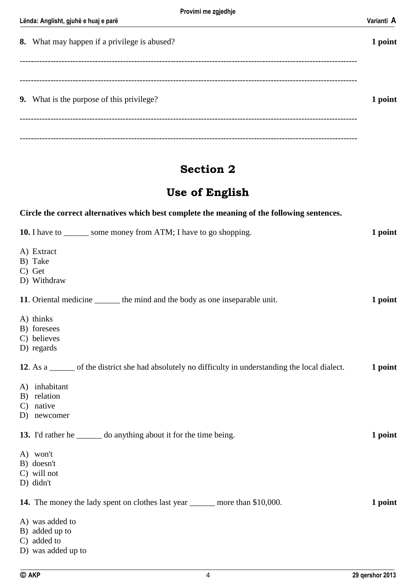| 8. What may happen if a privilege is abused?     | 1 point |
|--------------------------------------------------|---------|
|                                                  |         |
|                                                  |         |
| <b>9.</b> What is the purpose of this privilege? | 1 point |
|                                                  |         |
|                                                  |         |

### **Section 2**

### **Use of English**

**Circle the correct alternatives which best complete the meaning of the following sentences.**

### **10.** I have to \_\_\_\_\_\_ some money from ATM; I have to go shopping. **1 point** A) Extract B) Take C) Get D) Withdraw **11**. Oriental medicine \_\_\_\_\_\_ the mind and the body as one inseparable unit. **1 point** A) thinks B) foresees C) believes D) regards **12**. As a \_\_\_\_\_\_ of the district she had absolutely no difficulty in understanding the local dialect. **1 point** A) inhabitant B) relation C) native D) newcomer **13.** I'd rather he \_\_\_\_\_\_ do anything about it for the time being. **1 point** A) won't B) doesn't C) will not D) didn't **14.** The money the lady spent on clothes last year \_\_\_\_\_\_ more than \$10,000. **1 point** A) was added to B) added up to C) added to D) was added up to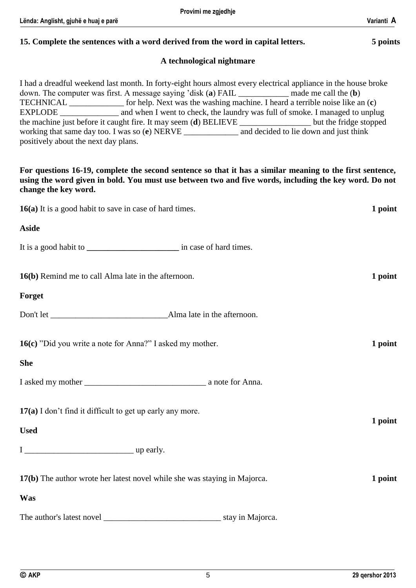# **15. Complete the sentences with a word derived from the word in capital letters. 5 points**

#### **A technological nightmare**

I had a dreadful weekend last month. In forty-eight hours almost every electrical appliance in the house broke down. The computer was first. A message saying 'disk (**a**) FAIL \_\_\_\_\_\_\_\_\_\_\_\_ made me call the (**b**) TECHNICAL \_\_\_\_\_\_\_\_\_\_\_\_\_ for help. Next was the washing machine. I heard a terrible noise like an (**c**) EXPLODE \_\_\_\_\_\_\_\_\_\_\_\_\_\_ and when I went to check, the laundry was full of smoke. I managed to unplug the machine just before it caught fire. It may seem (**d**) BELIEVE \_\_\_\_\_\_\_\_\_\_\_\_\_\_\_\_ working that same day too. I was so (**e**) NERVE \_\_\_\_\_\_\_\_\_\_\_\_\_ and decided to lie down and just think positively about the next day plans.

**For questions 16-19, complete the second sentence so that it has a similar meaning to the first sentence, using the word given in bold. You must use between two and five words, including the key word. Do not change the key word.**

| 16(a) It is a good habit to save in case of hard times.                   | 1 point |
|---------------------------------------------------------------------------|---------|
| <b>Aside</b>                                                              |         |
|                                                                           |         |
| 16(b) Remind me to call Alma late in the afternoon.                       | 1 point |
| Forget                                                                    |         |
|                                                                           |         |
| 16(c) "Did you write a note for Anna?" I asked my mother.                 | 1 point |
| <b>She</b>                                                                |         |
|                                                                           |         |
| 17(a) I don't find it difficult to get up early any more.                 |         |
| <b>Used</b>                                                               | 1 point |
|                                                                           |         |
| 17(b) The author wrote her latest novel while she was staying in Majorca. | 1 point |
| Was                                                                       |         |
|                                                                           |         |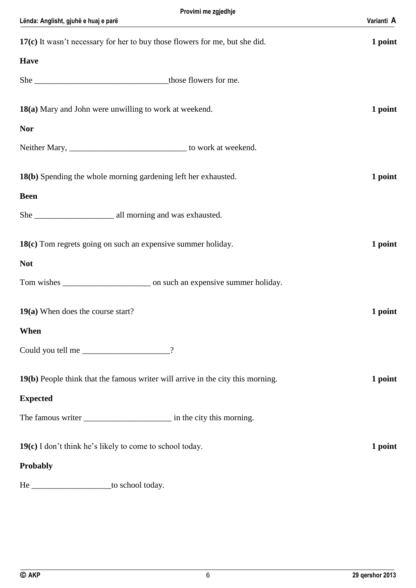| Provimi me zgjedhje                                                             |            |
|---------------------------------------------------------------------------------|------------|
| Lënda: Anglisht, gjuhë e huaj e parë                                            | Varianti A |
| 17(c) It wasn't necessary for her to buy those flowers for me, but she did.     | 1 point    |
| <b>Have</b>                                                                     |            |
|                                                                                 |            |
| 18(a) Mary and John were unwilling to work at weekend.                          | 1 point    |
| <b>Nor</b>                                                                      |            |
|                                                                                 |            |
| 18(b) Spending the whole morning gardening left her exhausted.                  | 1 point    |
| <b>Been</b>                                                                     |            |
|                                                                                 |            |
| 18(c) Tom regrets going on such an expensive summer holiday.                    | 1 point    |
| <b>Not</b>                                                                      |            |
|                                                                                 |            |
| 19(a) When does the course start?                                               | 1 point    |
| When                                                                            |            |
| Could you tell me<br>$\gamma$                                                   |            |
| 19(b) People think that the famous writer will arrive in the city this morning. | 1 point    |
| <b>Expected</b>                                                                 |            |
|                                                                                 |            |
| 19(c) I don't think he's likely to come to school today.                        | 1 point    |
| Probably                                                                        |            |
| He ________________________to school today.                                     |            |